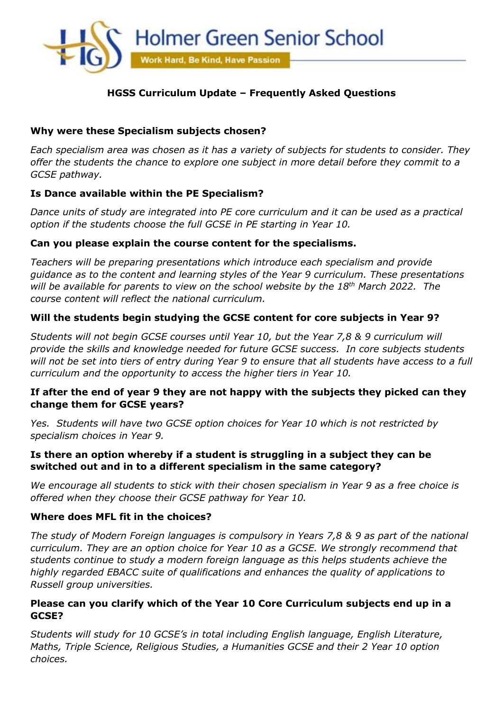

# **HGSS Curriculum Update – Frequently Asked Questions**

### **Why were these Specialism subjects chosen?**

*Each specialism area was chosen as it has a variety of subjects for students to consider. They offer the students the chance to explore one subject in more detail before they commit to a GCSE pathway.* 

### **Is Dance available within the PE Specialism?**

*Dance units of study are integrated into PE core curriculum and it can be used as a practical option if the students choose the full GCSE in PE starting in Year 10.*

#### **Can you please explain the course content for the specialisms.**

*Teachers will be preparing presentations which introduce each specialism and provide guidance as to the content and learning styles of the Year 9 curriculum. These presentations will be available for parents to view on the school website by the 18th March 2022. The course content will reflect the national curriculum.*

### **Will the students begin studying the GCSE content for core subjects in Year 9?**

*Students will not begin GCSE courses until Year 10, but the Year 7,8 & 9 curriculum will provide the skills and knowledge needed for future GCSE success. In core subjects students will not be set into tiers of entry during Year 9 to ensure that all students have access to a full curriculum and the opportunity to access the higher tiers in Year 10.*

### **If after the end of year 9 they are not happy with the subjects they picked can they change them for GCSE years?**

*Yes. Students will have two GCSE option choices for Year 10 which is not restricted by specialism choices in Year 9.* 

### **Is there an option whereby if a student is struggling in a subject they can be switched out and in to a different specialism in the same category?**

*We encourage all students to stick with their chosen specialism in Year 9 as a free choice is offered when they choose their GCSE pathway for Year 10.*

#### **Where does MFL fit in the choices?**

*The study of Modern Foreign languages is compulsory in Years 7,8 & 9 as part of the national curriculum. They are an option choice for Year 10 as a GCSE. We strongly recommend that students continue to study a modern foreign language as this helps students achieve the highly regarded EBACC suite of qualifications and enhances the quality of applications to Russell group universities.*

#### **Please can you clarify which of the Year 10 Core Curriculum subjects end up in a GCSE?**

*Students will study for 10 GCSE's in total including English language, English Literature, Maths, Triple Science, Religious Studies, a Humanities GCSE and their 2 Year 10 option choices.*